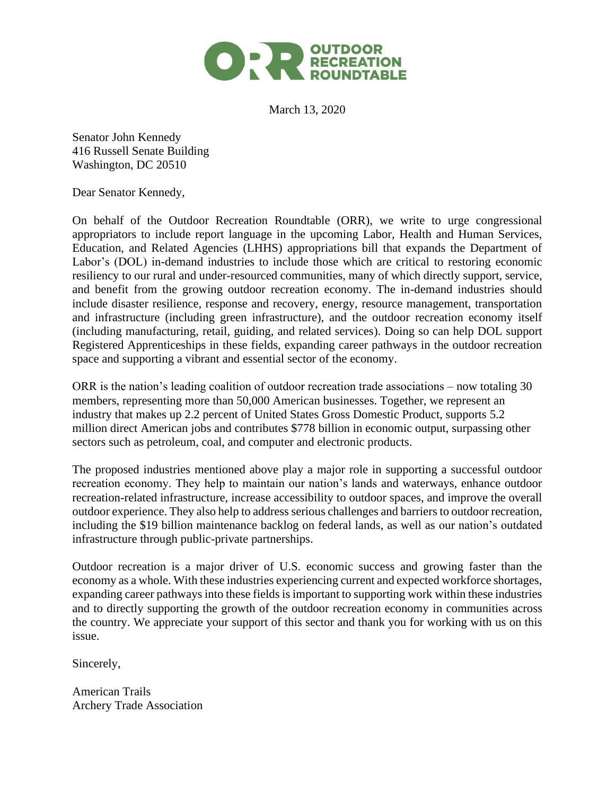

March 13, 2020

Senator John Kennedy 416 Russell Senate Building Washington, DC 20510

Dear Senator Kennedy,

On behalf of the Outdoor Recreation Roundtable (ORR), we write to urge congressional appropriators to include report language in the upcoming Labor, Health and Human Services, Education, and Related Agencies (LHHS) appropriations bill that expands the Department of Labor's (DOL) in-demand industries to include those which are critical to restoring economic resiliency to our rural and under-resourced communities, many of which directly support, service, and benefit from the growing outdoor recreation economy. The in-demand industries should include disaster resilience, response and recovery, energy, resource management, transportation and infrastructure (including green infrastructure), and the outdoor recreation economy itself (including manufacturing, retail, guiding, and related services). Doing so can help DOL support Registered Apprenticeships in these fields, expanding career pathways in the outdoor recreation space and supporting a vibrant and essential sector of the economy.

ORR is the nation's leading coalition of outdoor recreation trade associations – now totaling 30 members, representing more than 50,000 American businesses. Together, we represent an industry that makes up 2.2 percent of United States Gross Domestic Product, supports 5.2 million direct American jobs and contributes \$778 billion in economic output, surpassing other sectors such as petroleum, coal, and computer and electronic products.

The proposed industries mentioned above play a major role in supporting a successful outdoor recreation economy. They help to maintain our nation's lands and waterways, enhance outdoor recreation-related infrastructure, increase accessibility to outdoor spaces, and improve the overall outdoor experience. They also help to address serious challenges and barriers to outdoor recreation, including the \$19 billion maintenance backlog on federal lands, as well as our nation's outdated infrastructure through public-private partnerships.

Outdoor recreation is a major driver of U.S. economic success and growing faster than the economy as a whole. With these industries experiencing current and expected workforce shortages, expanding career pathways into these fields is important to supporting work within these industries and to directly supporting the growth of the outdoor recreation economy in communities across the country. We appreciate your support of this sector and thank you for working with us on this issue.

Sincerely,

American Trails Archery Trade Association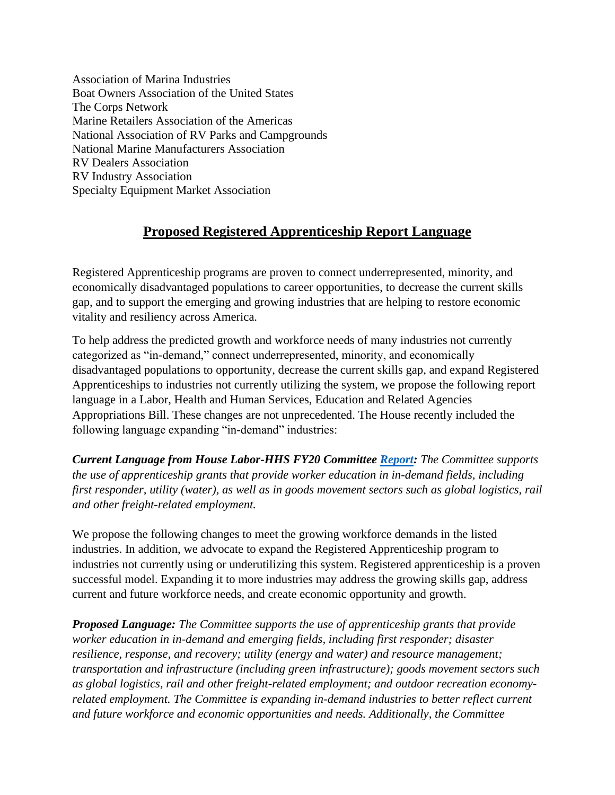Association of Marina Industries Boat Owners Association of the United States The Corps Network Marine Retailers Association of the Americas National Association of RV Parks and Campgrounds National Marine Manufacturers Association RV Dealers Association RV Industry Association Specialty Equipment Market Association

## **Proposed Registered Apprenticeship Report Language**

Registered Apprenticeship programs are proven to connect underrepresented, minority, and economically disadvantaged populations to career opportunities, to decrease the current skills gap, and to support the emerging and growing industries that are helping to restore economic vitality and resiliency across America.

To help address the predicted growth and workforce needs of many industries not currently categorized as "in-demand," connect underrepresented, minority, and economically disadvantaged populations to opportunity, decrease the current skills gap, and expand Registered Apprenticeships to industries not currently utilizing the system, we propose the following report language in a Labor, Health and Human Services, Education and Related Agencies Appropriations Bill. These changes are not unprecedented. The House recently included the following language expanding "in-demand" industries:

*Current Language from House Labor-HHS FY20 Committee [Report:](https://appropriations.house.gov/sites/democrats.appropriations.house.gov/files/FY2020%20LHHS%20Filed%20Report%20-%20HR2740.pdf) The Committee supports the use of apprenticeship grants that provide worker education in in-demand fields, including first responder, utility (water), as well as in goods movement sectors such as global logistics, rail and other freight-related employment.* 

We propose the following changes to meet the growing workforce demands in the listed industries. In addition, we advocate to expand the Registered Apprenticeship program to industries not currently using or underutilizing this system. Registered apprenticeship is a proven successful model. Expanding it to more industries may address the growing skills gap, address current and future workforce needs, and create economic opportunity and growth.

*Proposed Language: The Committee supports the use of apprenticeship grants that provide worker education in in-demand and emerging fields, including first responder; disaster resilience, response, and recovery; utility (energy and water) and resource management; transportation and infrastructure (including green infrastructure); goods movement sectors such as global logistics, rail and other freight-related employment; and outdoor recreation economyrelated employment. The Committee is expanding in-demand industries to better reflect current and future workforce and economic opportunities and needs. Additionally, the Committee*